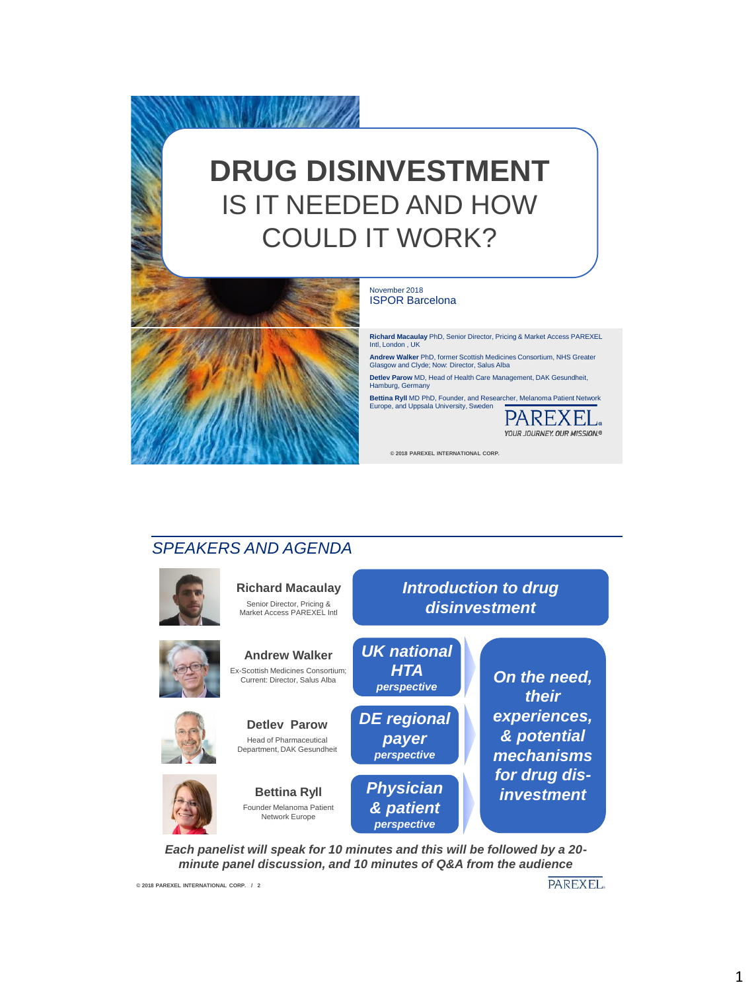# **DRUG DISINVESTMENT**  IS IT NEEDED AND HOW COULD IT WORK?



#### vember 2018 ISPOR Barcelona

**Richard Macaulay** PhD, Senior Director, Pricing & Market Access PAREXEL Intl, London , UK

**Andrew Walker** PhD, former Scottish Medicines Consortium, NHS Greater Glasgow and Clyde; Now: Director, Salus Alba

**Detlev Parow** MD, Head of Health Care Management, DAK Gesundheit, Hamburg, Germany

**Bettina Ryll** MD PhD, Founder, and Researcher, Melanoma Patient Network<br>Europe, and Uppsala University, Sweden<br>—————————————————————————————————



**© 2018 PAREXEL INTERNATIONAL CORP.** 

#### *SPEAKERS AND AGENDA*



*Each panelist will speak for 10 minutes and this will be followed by a 20 minute panel discussion, and 10 minutes of Q&A from the audience*

**© 2018 PAREXEL INTERNATIONAL CORP. / 2**

**PAREXEL**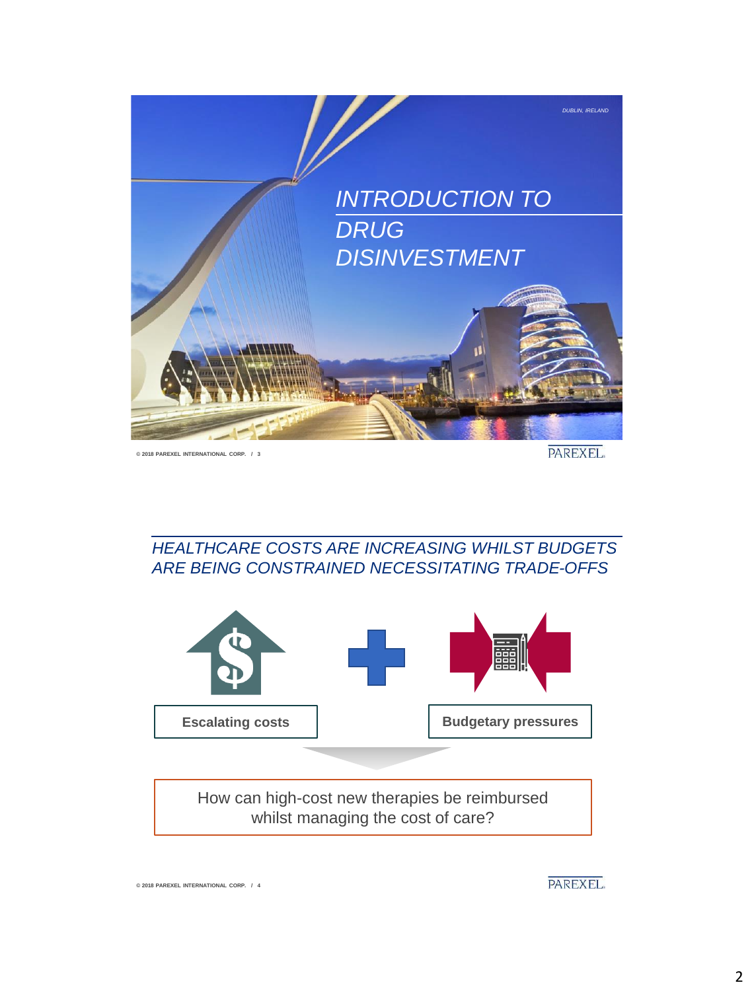

**© 2018 PAREXEL INTERNATIONAL CORP. / 3**

**© 2018 PAREXEL INTERNATIONAL CORP. / 4**

PAREXEL.

*HEALTHCARE COSTS ARE INCREASING WHILST BUDGETS ARE BEING CONSTRAINED NECESSITATING TRADE-OFFS*



PAREXEL.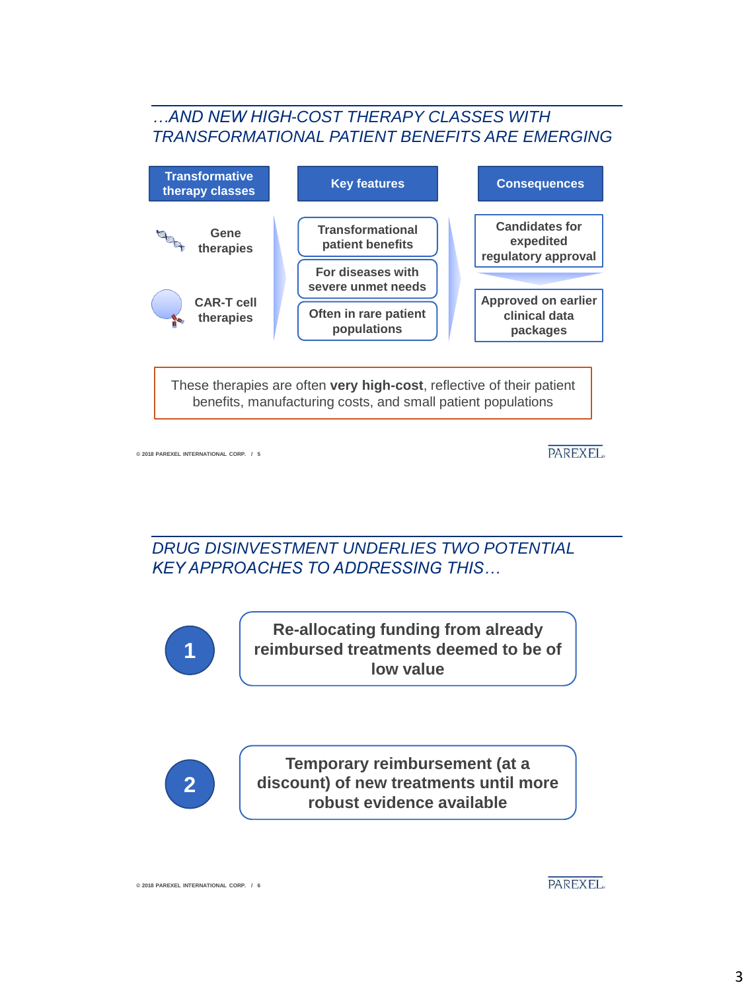#### *…AND NEW HIGH-COST THERAPY CLASSES WITH TRANSFORMATIONAL PATIENT BENEFITS ARE EMERGING*



**© 2018 PAREXEL INTERNATIONAL CORP. / 5**

PAREXEL.

*DRUG DISINVESTMENT UNDERLIES TWO POTENTIAL KEY APPROACHES TO ADDRESSING THIS…*



**Re-allocating funding from already reimbursed treatments deemed to be of low value**



**Temporary reimbursement (at a discount) of new treatments until more robust evidence available**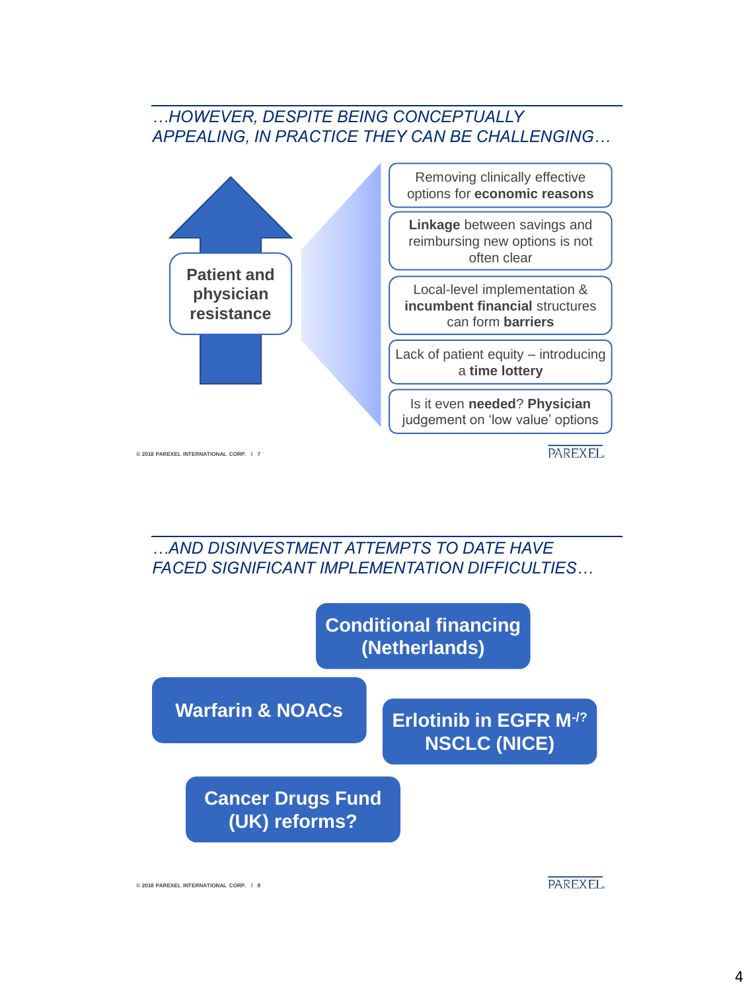#### *…HOWEVER, DESPITE BEING CONCEPTUALLY APPEALING, IN PRACTICE THEY CAN BE CHALLENGING…*



**© 2018 PAREXEL INTERNATIONAL CORP. / 7**

PAREXEL.





**© 2018 PAREXEL INTERNATIONAL CORP. / 8**

**PAREXEL**